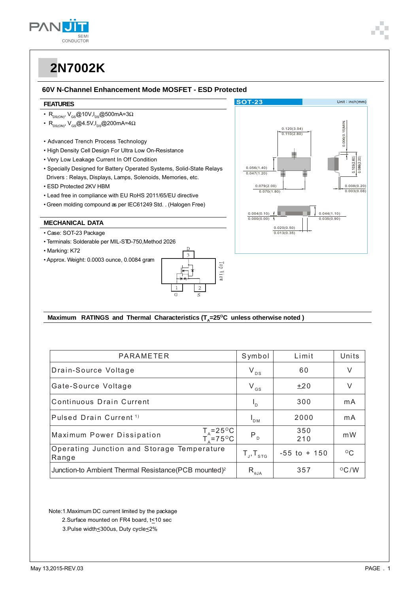

#### 60V N-Channel Enhancement Mode MOSFET - ESD Protected

#### **FEATURES**

- $R_{DS(ON)}$ ,  $V_{GS}$ @10V,  $I_{DS}$ @500mA=3 $\Omega$
- $\cdot$  R<sub>DS(ON)</sub>, V<sub>GS</sub>@4.5V, I<sub>DS</sub>@200mA=4 $\Omega$
- Advanced Trench Process Technology
- . High Density Cell Design For Ultra Low On-Resistance
- Very Low Leakage Current In Off Condition
- Specially Designed for Battery Operated Systems, Solid-State Relays Drivers : Relays, Displays, Lamps, Solenoids, Memories, etc.
- ESD Protected 2KV HBM
- Lead free in compliance with EU RoHS 2011/65/EU directive
- Green molding compound as per IEC61249 Std. . (Halogen Free)

### **MECHANICAL DATA**

- · Case: SOT-23 Package
- · Terminals: Solderable per MIL-STD-750, Method 2026
- Marking: K72
- Approx. Weight: 0.0003 ounce, 0.0084 gram





#### Maximum RATINGS and Thermal Characteristics (T<sub>s</sub>=25°C unless otherwise noted)

| PARAMETER                                                               | Symbol                            | Limit           | Units          |
|-------------------------------------------------------------------------|-----------------------------------|-----------------|----------------|
| Drain-Source Voltage                                                    | $V_{DS}$                          | 60              | V              |
| Gate-Source Voltage                                                     | $V_{GS}$                          | $+20$           | $\vee$         |
| Continuous Drain Current                                                | $I_{\rm D}$                       | 300             | mA             |
| Pulsed Drain Current <sup>1)</sup>                                      | $\mathsf{I}_{\mathsf{DM}}$        | 2000            | mA             |
| $T_A = 25^{\circ}C$<br>$T_A = 75^{\circ}C$<br>Maximum Power Dissipation | $P_{D}$                           | 350<br>210      | m W            |
| Operating Junction and Storage Temperature<br>Range                     | $T_{\text{J}}$ , $T_{\text{STG}}$ | $-55$ to $+150$ | $^{\circ}$ C   |
| Junction-to Ambient Thermal Resistance (PCB mounted) <sup>2</sup>       | $R_{\theta$ JA                    | 357             | $^{\circ}$ C/W |

Note:1.Maximum DC current limited by the package

- 2. Surface mounted on FR4 board, t<10 sec
- 3. Pulse width<300us, Duty cycle<2%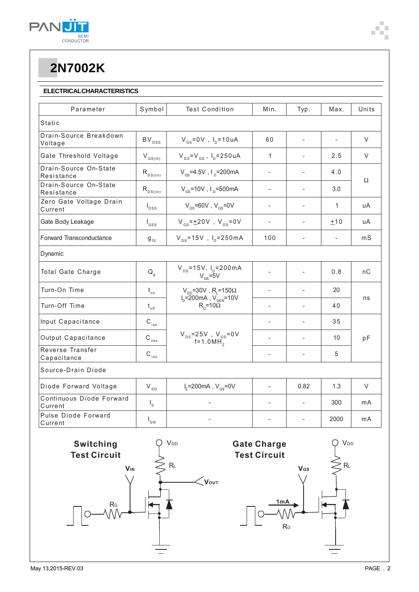

### **ELECTRICALCHARACTERISTICS**

| Parameter                           | Symbol               | <b>Test Condition</b>                                                                                                | Min.                     | Typ.                     | Max.           | Units  |  |
|-------------------------------------|----------------------|----------------------------------------------------------------------------------------------------------------------|--------------------------|--------------------------|----------------|--------|--|
| <b>Static</b>                       |                      |                                                                                                                      |                          |                          |                |        |  |
| Drain-Source Breakdown<br>Voltage   | $BV_{DSS}$           | $V_{gs} = 0V$ , $I_p = 10uA$                                                                                         | 60                       | $\overline{a}$           |                | V      |  |
| Gate Threshold Voltage              | $\rm V_{\rm GS(th)}$ | $V_{\text{ns}}=V_{\text{gs}}$ , $I_{\text{p}}=250$ uA                                                                | $\mathbf{1}$             |                          | 2.5            | $\vee$ |  |
| Drain-Source On-State<br>Resistance | $R_{DS(on)}$         | $V_{\text{cs}}$ =4.5V, $I_{\text{p}}$ =200mA                                                                         | $\overline{a}$           |                          | 4.0            | Ω      |  |
| Drain-Source On-State<br>Resistance | $R_{DS(on)}$         | $V_{\rm cs}$ =10V, I <sub>n</sub> =500mA                                                                             |                          |                          | 3.0            |        |  |
| Zero Gate Voltage Drain<br>Current  | $I_{DSS}$            | $V_{\text{ns}}$ =60V, $V_{\text{ns}}$ =0V                                                                            | $\overline{\phantom{a}}$ | $\overline{\phantom{a}}$ | 1              | uA     |  |
| Gate Body Leakage                   | $I_{GSS}$            | $V_{\text{gs}} = \pm 20V$ , $V_{\text{gs}} = 0V$                                                                     | $\overline{a}$           | ÷                        | ±10            | uA     |  |
| Forward Transconductance            | $9_{fs}$             | $V_{DS} = 15V$ , $I_{D} = 250mA$                                                                                     | 100                      | $\overline{a}$           | $\overline{a}$ | mS     |  |
| Dynamic                             |                      |                                                                                                                      |                          |                          |                |        |  |
| Total Gate Charge                   | $Q_{q}$              | $V_{DS} = 15V$ , $I_{D} = 200mA$<br>$V_{GS} = 5V$                                                                    |                          |                          | 0.8            | nC     |  |
| Turn-On Time                        | $t_{\circ n}$        | $V_{DD}$ =30V, R <sub>L</sub> =150 $\Omega$<br>$I_{D} = 200 \text{mA}$ , $V_{GEN} = 10V$<br>$R_{\rm g}$ =10 $\Omega$ | $\overline{a}$           |                          | 20             | ns     |  |
| Turn-Off Time                       | $t_{\rm off}$        |                                                                                                                      | $\overline{a}$           |                          | 40             |        |  |
| Input Capacitance                   | $C_{\text{iss}}$     | $V_{DS} = 25V$ , $V_{GS} = 0V$<br>f=1.0MH <sub>7</sub>                                                               | $\overline{\phantom{a}}$ |                          | 35             | pF     |  |
| Output Capacitance                  | $\rm{C_{\,_{oss}}}$  |                                                                                                                      |                          | $\overline{\phantom{0}}$ | 10             |        |  |
| Reverse Transfer<br>Capacitance     | $C_{\text{rss}}$     |                                                                                                                      | ÷                        | $\overline{a}$           | 5              |        |  |
| Source-Drain Diode                  |                      |                                                                                                                      |                          |                          |                |        |  |
| Diode Forward Voltage               | $V_{SD}$             | $I_s = 200 \text{mA}$ , $V_{cs} = 0V$                                                                                | $\overline{\phantom{a}}$ | 0.82                     | 1.3            | $\vee$ |  |
| Continuous Diode Forward<br>Current | $I_{\rm s}$          |                                                                                                                      |                          | $\overline{a}$           | 300            | mA     |  |
| Pulse Diode Forward<br>Current      | $I_{\rm SM}$         |                                                                                                                      |                          |                          | 2000           | mA     |  |

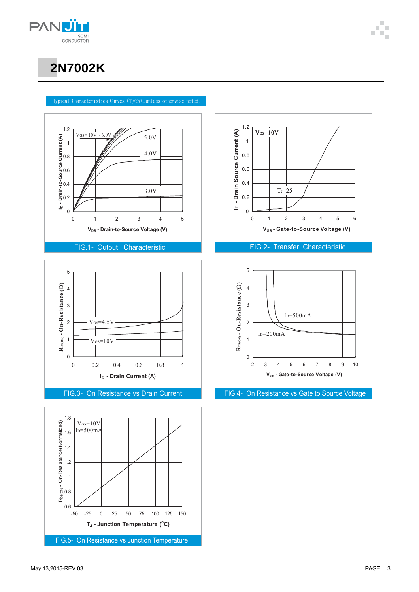

#### Typical Characteristics Curves (T<sub>4</sub>=25°C,unless otherwise noted)



#### FIG.1- Output Characteristic







### FIG.2- Transfer Characteristic



#### FIG.3- On Resistance vs Drain Current FIG.4- On Resistance vs Gate to Source Voltage

May 13,2015-REV.03 PAGE . 3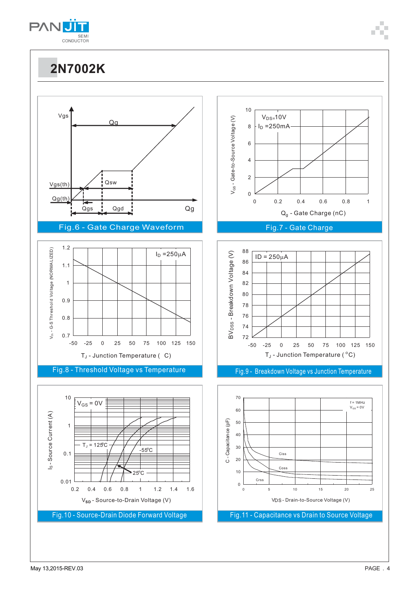



Fig.10 - Source-Drain Diode Forward Voltage

V**SD** - Source-to-Drain Voltage (V)

Fig.11 - Capacitance vs Drain to Source Voltage

VDS - Drain-to-Source Voltage (V)

 $f = 1MHz$  $V_{GS} = 0V$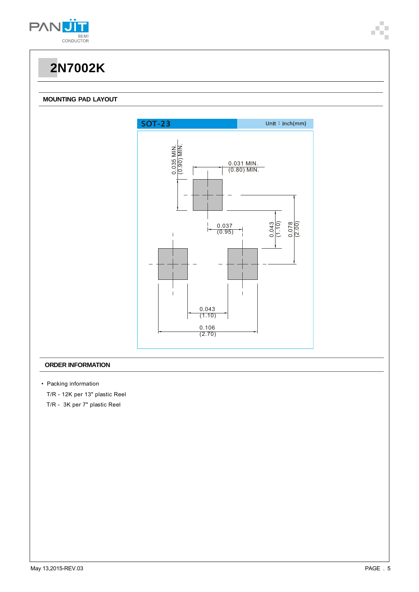

#### **MOUNTING PAD LAYOUT**



#### **ORDER INFORMATION**

- Packing information
	- T/R 12K per 13" plastic Reel
	- T/R 3K per 7" plastic Reel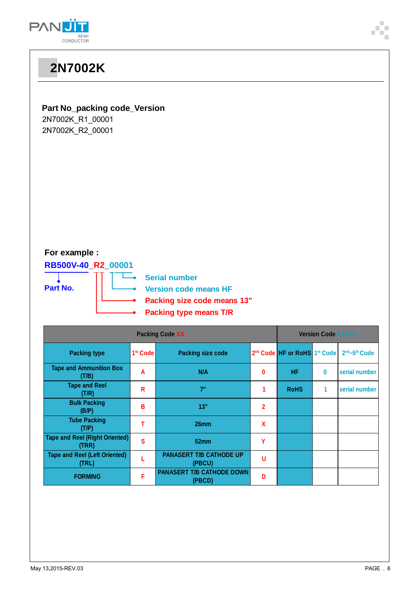

| <b>2N7002K</b>                                                                                                                                                                 |                      |                          |                           |                                                      |              |               |  |  |  |
|--------------------------------------------------------------------------------------------------------------------------------------------------------------------------------|----------------------|--------------------------|---------------------------|------------------------------------------------------|--------------|---------------|--|--|--|
| Part No_packing code_Version<br>2N7002K_R1_00001<br>2N7002K_R2_00001                                                                                                           |                      |                          |                           |                                                      |              |               |  |  |  |
| For example :<br>RB500V-40_R2_00001<br><b>Serial number</b><br>Part No.<br><b>Version code means HF</b><br><b>Packing size code means 13"</b><br><b>Packing type means T/R</b> |                      |                          |                           |                                                      |              |               |  |  |  |
| <b>Packing Code XX</b>                                                                                                                                                         |                      |                          | <b>Version Code XXXXX</b> |                                                      |              |               |  |  |  |
| <b>Packing type</b>                                                                                                                                                            | 1 <sup>st</sup> Code | <b>Packing size code</b> |                           | 2 <sup>nd</sup> Code HF or RoHS 1 <sup>st</sup> Code |              | 2nd~5th Code  |  |  |  |
| <b>Tape and Ammunition Box</b><br>(T/B)                                                                                                                                        | A                    | N/A                      | 0                         | HF.                                                  | $\pmb{0}$    | serial number |  |  |  |
| <b>Tape and Reel</b><br>(T/R)                                                                                                                                                  | $\mathsf{R}$         | 7"                       | $\mathbf{1}$              | <b>RoHS</b>                                          | $\mathbf{1}$ | serial number |  |  |  |
| <b>Bulk Packing</b><br>(B/P)                                                                                                                                                   | B                    | 13"                      | $\overline{2}$            |                                                      |              |               |  |  |  |
| <b>Tube Packing</b><br>(T/P)                                                                                                                                                   | $\mathsf T$          | 26mm                     | $\pmb{\mathsf{X}}$        |                                                      |              |               |  |  |  |

**PANASERT T/B CATHODE UP** U

**(PBCD) <sup>D</sup>**

**Tape and Reel (Right Oriented) (TRR) <sup>S</sup> 52mm <sup>Y</sup>**

**F PANASERT T/B CATHODE DOWN** 

**Tape and Reel (Left Oriented) (TRL) <sup>L</sup> PANASERT T/B CATHODE UP**